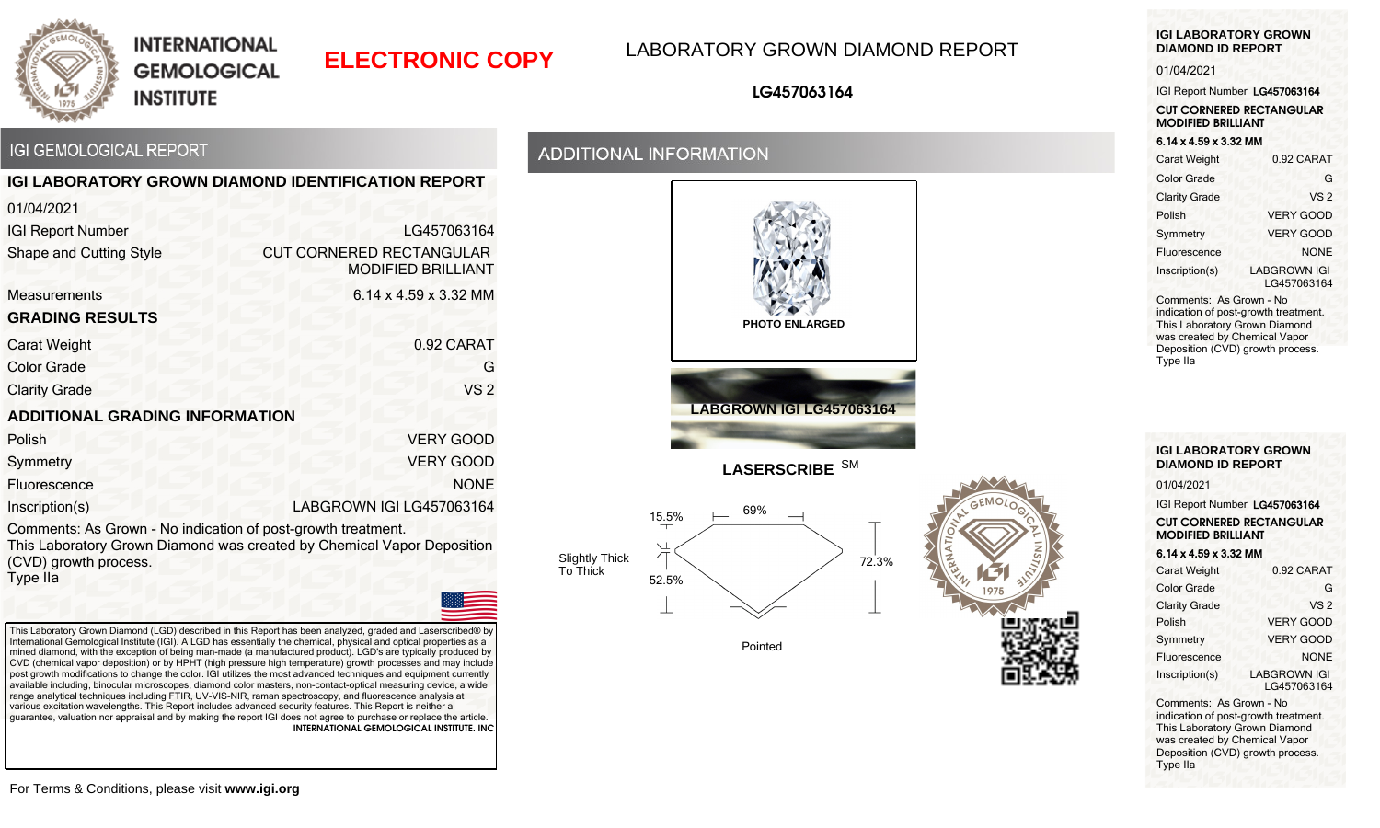

# **ELECTRONIC COPY** LABORATORY GROWN DIAMOND REPORT

### **LG457063164**

## **IGI GEMOLOGICAL REPORT**

|                                       | <b>IGI LABORATORY GROWN DIAMOND IDENTIFICATION REPORT</b>    |
|---------------------------------------|--------------------------------------------------------------|
| 01/04/2021                            |                                                              |
| <b>IGI Report Number</b>              | LG457063164                                                  |
| Shape and Cutting Style               | <b>CUT CORNERED RECTANGULAR</b><br><b>MODIFIED BRILLIANT</b> |
| <b>Measurements</b>                   | 6.14 x 4.59 x 3.32 MM                                        |
| <b>GRADING RESULTS</b>                |                                                              |
| Carat Weight                          | 0.92 CARAT                                                   |
| <b>Color Grade</b>                    | G                                                            |
| <b>Clarity Grade</b>                  | VS <sub>2</sub>                                              |
| <b>ADDITIONAL GRADING INFORMATION</b> |                                                              |
| Polish                                | <b>VERY GOOD</b>                                             |
| Symmetry                              | <b>VERY GOOD</b>                                             |
| Fluorescence                          | <b>NONE</b>                                                  |
| Inscription(s)                        | LABGROWN IGI LG457063164                                     |

Comments: As Grown - No indication of post-growth treatment. This Laboratory Grown Diamond was created by Chemical Vapor Deposition (CVD) growth process. Type IIa



This Laboratory Grown Diamond (LGD) described in this Report has been analyzed, graded and Laserscribed® by International Gemological Institute (IGI). A LGD has essentially the chemical, physical and optical properties as a mined diamond, with the exception of being man-made (a manufactured product). LGD's are typically produced by CVD (chemical vapor deposition) or by HPHT (high pressure high temperature) growth processes and may include post growth modifications to change the color. IGI utilizes the most advanced techniques and equipment currently available including, binocular microscopes, diamond color masters, non-contact-optical measuring device, a wide range analytical techniques including FTIR, UV-VIS-NIR, raman spectroscopy, and fluorescence analysis at various excitation wavelengths. This Report includes advanced security features. This Report is neither a guarantee, valuation nor appraisal and by making the report IGI does not agree to purchase or replace the article.  **INTERNATIONAL GEMOLOGICAL INSTITUTE. INC** 

### **ADDITIONAL INFORMATION**





**LASERSCRIBE** SM



Pointed



#### **IGI LABORATORY GROWN DIAMOND ID REPORT**

#### 01/04/2021

IGI Report Number LG457063164

**CUT CORNERED RECTANGULAR MODIFIED BRILLIANT**

### 6.14 x 4.59 x 3.32 MM

| Carat Weight             | 0.92 CARAT                         |
|--------------------------|------------------------------------|
| <b>Color Grade</b>       | G                                  |
| <b>Clarity Grade</b>     | VS <sub>2</sub>                    |
| Polish                   | <b>VERY GOOD</b>                   |
| Symmetry                 | VERY GOOD                          |
| Fluorescence             | <b>NONE</b>                        |
| Inscription(s)           | <b>LABGROWN IGI</b><br>LG457063164 |
| Comments: As Grown - No. |                                    |

Comments: As Grown - No indication of post-growth treatment. This Laboratory Grown Diamond was created by Chemical Vapor Deposition (CVD) growth process. Type IIa

#### **IGI LABORATORY GROWN DIAMOND ID REPORT**

01/04/2021

IGI Report Number LG457063164 **CUT CORNERED RECTANGULAR MODIFIED BRILLIANT**

#### 6.14 x 4.59 x 3.32 MM

| Carat Weight         | 0.92 CARAT                         |
|----------------------|------------------------------------|
| <b>Color Grade</b>   | G                                  |
| <b>Clarity Grade</b> | VS <sub>2</sub>                    |
| Polish               | <b>VERY GOOD</b>                   |
| Symmetry             | <b>VERY GOOD</b>                   |
| Fluorescence         | <b>NONE</b>                        |
| Inscription(s)       | <b>LABGROWN IGI</b><br>LG457063164 |

Comments: As Grown - No indication of post-growth treatment. This Laboratory Grown Diamond was created by Chemical Vapor Deposition (CVD) growth process. Type IIa